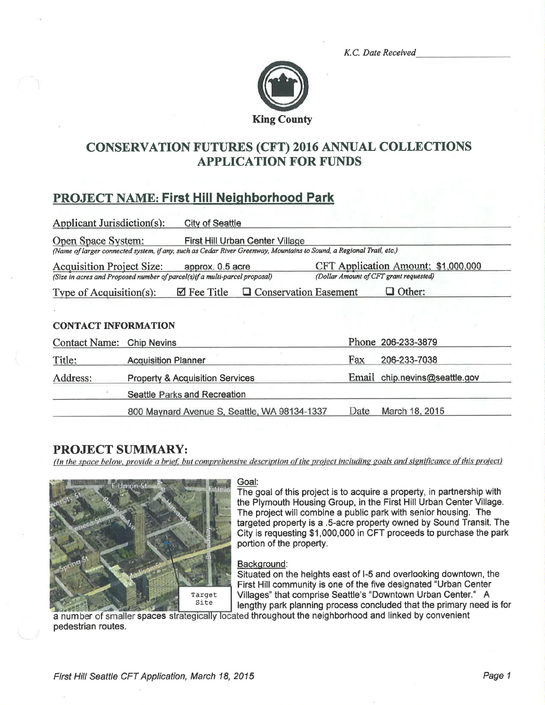K.C. Date Received



## **CONSERVATION FUTURES (CFT) 2016 ANNUAL COLLECTIONS APPLICATION FOR FUNDS**

# **PROJECT NAME: First Hill Neighborhood Park**

| <b>Applicant Jurisdiction(s):</b>                                           |                                            | <b>City of Seattle</b> |                                                                                                                     |                                        |                               |
|-----------------------------------------------------------------------------|--------------------------------------------|------------------------|---------------------------------------------------------------------------------------------------------------------|----------------------------------------|-------------------------------|
| Open Space System:                                                          |                                            |                        | First Hill Urban Center Village                                                                                     |                                        |                               |
|                                                                             |                                            |                        | (Name of larger connected system, if any, such as Cedar River Greenway, Mountains to Sound, a Regional Trail, etc.) |                                        |                               |
| <b>Acquisition Project Size:</b><br>approx. 0.5 acre                        |                                            |                        | CFT Application Amount: \$1,000,000                                                                                 |                                        |                               |
| (Size in acres and Proposed number of parcel(s) if a multi-parcel proposal) |                                            |                        |                                                                                                                     | (Dollar Amount of CFT grant requested) |                               |
| Type of Acquisition(s):                                                     |                                            | $\boxtimes$ Fee Title  | <b>Q</b> Conservation Easement                                                                                      |                                        | $\Box$ Other:                 |
|                                                                             |                                            |                        |                                                                                                                     |                                        |                               |
| <b>CONTACT INFORMATION</b>                                                  |                                            |                        |                                                                                                                     |                                        |                               |
| Contact Name: Chip Nevins                                                   |                                            |                        |                                                                                                                     |                                        | Phone 206-233-3879            |
| Title:                                                                      | <b>Acquisition Planner</b>                 |                        |                                                                                                                     | Fax                                    | 206-233-7038                  |
| Address:                                                                    | <b>Property &amp; Acquisition Services</b> |                        |                                                                                                                     |                                        | Email chip.nevins@seattle.gov |
|                                                                             | Seattle Parks and Recreation               |                        |                                                                                                                     |                                        |                               |
|                                                                             |                                            |                        | 800 Maynard Avenue S, Seattle, WA 98134-1337                                                                        | Date                                   | March 18, 2015                |

## **PROJECT SUMMARY:**

(In the space below, provide a brief, but comprehensive description of the project including goals and significance of this project)



### Goal:

The goal of this project is to acquire a property, in partnership with the Plymouth Housing Group, in the First Hill Urban Center Village. The project will combine a public park with senior housing. The targeted property is a .5-acre property owned by Sound Transit. The City is requesting \$1,000,000 in CFT proceeds to purchase the park portion of the property.

### Background:

Situated on the heights east of I-5 and overlooking downtown, the First Hill community is one of the five designated "Urban Center Villages" that comprise Seattle's "Downtown Urban Center." A lengthy park planning process concluded that the primary need is for

a number of smaller spaces strategically located throughout the neighborhood and linked by convenient pedestrian routes.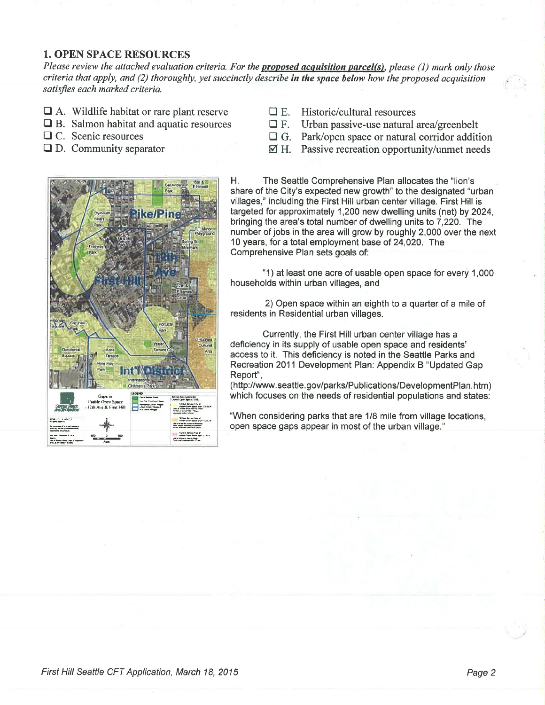## **1. OPEN SPACE RESOURCES**

Please review the attached evaluation criteria. For the proposed acquisition parcel(s), please (1) mark only those criteria that apply, and (2) thoroughly, yet succinctly describe in the space below how the proposed acquisition satisfies each marked criteria.

- $\Box$  A. Wildlife habitat or rare plant reserve
- $\Box$  B. Salmon habitat and aquatic resources
- $\Box$  C. Scenic resources
- $\Box$  D. Community separator
- $\Box$  E. Historic/cultural resources
- $\Box$  F. Urban passive-use natural area/greenbelt
- $\Box$  G. Park/open space or natural corridor addition
- $\boxtimes$  H. Passive recreation opportunity/unmet needs



Η. The Seattle Comprehensive Plan allocates the "lion's share of the City's expected new growth" to the designated "urban villages," including the First Hill urban center village. First Hill is targeted for approximately 1,200 new dwelling units (net) by 2024. bringing the area's total number of dwelling units to 7,220. The number of jobs in the area will grow by roughly 2,000 over the next 10 years, for a total employment base of 24,020. The Comprehensive Plan sets goals of:

"1) at least one acre of usable open space for every 1,000 households within urban villages, and

2) Open space within an eighth to a quarter of a mile of residents in Residential urban villages.

Currently, the First Hill urban center village has a deficiency in its supply of usable open space and residents' access to it. This deficiency is noted in the Seattle Parks and Recreation 2011 Development Plan: Appendix B "Updated Gap Report",

(http://www.seattle.gov/parks/Publications/DevelopmentPlan.htm) which focuses on the needs of residential populations and states:

"When considering parks that are 1/8 mile from village locations, open space gaps appear in most of the urban village."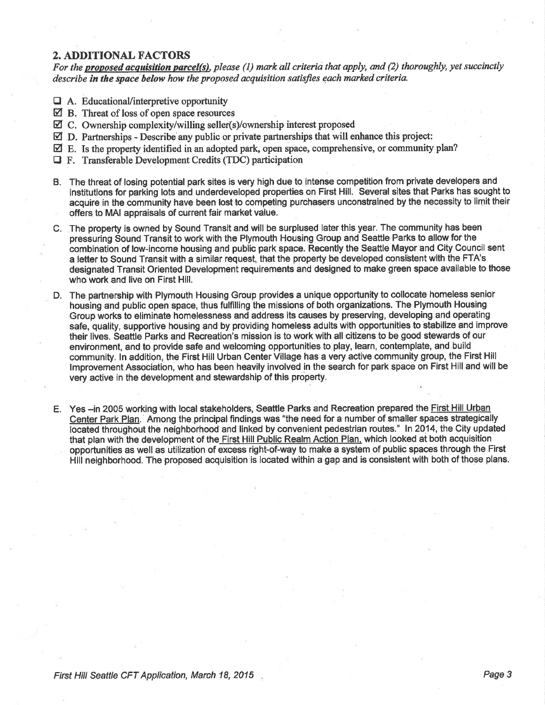## 2. ADDITIONAL FACTORS

For the **proposed acquisition parcel(s)**, please (1) mark all criteria that apply, and (2) thoroughly, yet succinctly describe in the space below how the proposed acquisition satisfies each marked criteria.

- $\Box$  A. Educational/interpretive opportunity
- $\boxtimes$  B. Threat of loss of open space resources
- ⊠ C. Ownership complexity/willing seller(s)/ownership interest proposed
- $\boxtimes$  D. Partnerships Describe any public or private partnerships that will enhance this project:
- $\boxtimes$  E. Is the property identified in an adopted park, open space, comprehensive, or community plan?
- **T** F. Transferable Development Credits (TDC) participation
- B. The threat of losing potential park sites is very high due to intense competition from private developers and institutions for parking lots and underdeveloped properties on First Hill. Several sites that Parks has sought to acquire in the community have been lost to competing purchasers unconstrained by the necessity to limit their offers to MAI appraisals of current fair market value.
- C. The property is owned by Sound Transit and will be surplused later this year. The community has been pressuring Sound Transít to work with the Plymouth Housing Group and Seattle Parks to allow for the combination of low-income housing and public park space. Recently the Seattle Mayor and City Council sent a letter to Sound Transit with a similar request, that the property be developed consistent with the FTA's designated Transit Oriented Development requirements and designed to make green space available to those who work and live on First Hill.
- D. The partnership with Plymouth Housing Group provides a unique opportunity to collocate homeless senior housing and public open space, thus fulfilling the missions of both organizations. The Plymouth Housing Group works to eliminate homelessness and address its causes by preserving, developing and operating safe, quality, supportive housing and by providing homeless adults with opportuhities to stabilize and improve their lives. Seattle Parks and Recreation's mission is to work with all citizens to be good stewards of our environment, and to provide safe and welcoming opportunities to play, learn, contemplate, and build communig. ln addition, the First Hill Urban Genter Village has a very active community group, the First Hill lmprovement Association, who has been heavily involved in the search for park space on First Hill and will be very active in the development and stewardship of this property.
- E. Yes -in 2005 working with local stakeholders, Seattle Parks and Recreation prepared the First Hill Urban Center Park Plan. Among the principal findings was "the need for a number of smaller spaces strategically located throughout the neighborhood and linked by convenient pedestrian routes." In 2014, the City updated that plan with the development of the First Hill Public Realm Action Plan. which looked at both acquisition opportunities as well as utilization of excess right-of-way to make a system of public spaces through the First Hill neighborhood. The proposed acquisition is located within a gap and is consistent with both of those plans.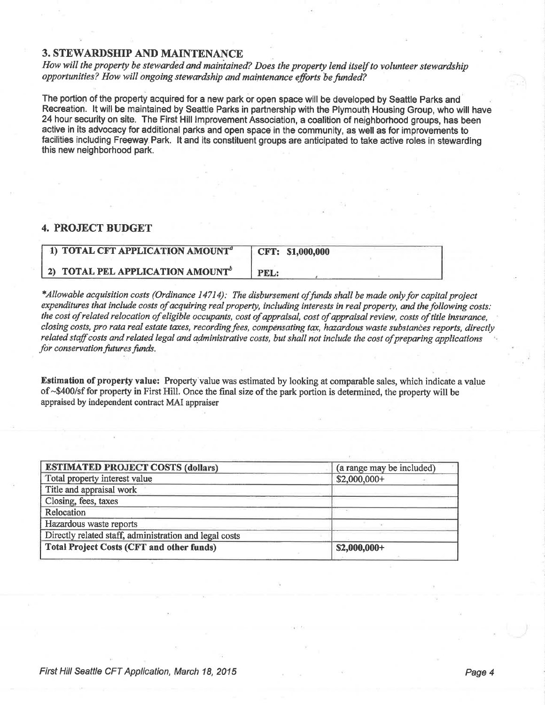### **3. STEWARDSHIP AND MAINTENANCE**

How will the property be stewarded and maintained? Does the property lend itself to volunteer stewardship opportunities? How will ongoing stewardship and maintenance efforts be funded?

The portion of the property acquired for a new park or open space will be developed by Seattle Parks and Recreation. It will be maintained by Seattle Parks in partnership with the Plymouth Housing Group, who will have 24 hour security on site. The First Hill Improvement Association, a coalition of neighborhood groups, has been active in its advocacy for additional parks and open space in the community, as well as for improvements to facilities including Freeway Park. It and its constituent groups are anticipated to take active roles in stewarding this new neighborhood park.

### **4. PROJECT BUDGET**

| 1) TOTAL CFT APPLICATION AMOUNT <sup>a</sup> | CFT: \$1,000,000 |
|----------------------------------------------|------------------|
| 2) TOTAL PEL APPLICATION AMOUNT <sup>b</sup> | PEL:             |

\*Allowable acquisition costs (Ordinance 14714): The disbursement of funds shall be made only for capital project expenditures that include costs of acquiring real property, including interests in real property, and the following costs: the cost of related relocation of eligible occupants, cost of appraisal, cost of appraisal review, costs of title insurance, closing costs, pro rata real estate taxes, recording fees, compensating tax, hazardous waste substances reports, directly related staff costs and related legal and administrative costs, but shall not include the cost of preparing applications for conservation futures funds.

Estimation of property value: Property value was estimated by looking at comparable sales, which indicate a value of ~\$400/sf for property in First Hill. Once the final size of the park portion is determined, the property will be appraised by independent contract MAI appraiser

| <b>ESTIMATED PROJECT COSTS (dollars)</b>               | (a range may be included) |
|--------------------------------------------------------|---------------------------|
| Total property interest value                          | $$2,000,000+$             |
| Title and appraisal work                               |                           |
| Closing, fees, taxes                                   |                           |
| Relocation                                             |                           |
| Hazardous waste reports                                |                           |
| Directly related staff, administration and legal costs |                           |
| <b>Total Project Costs (CFT and other funds)</b>       | $$2,000,000+$             |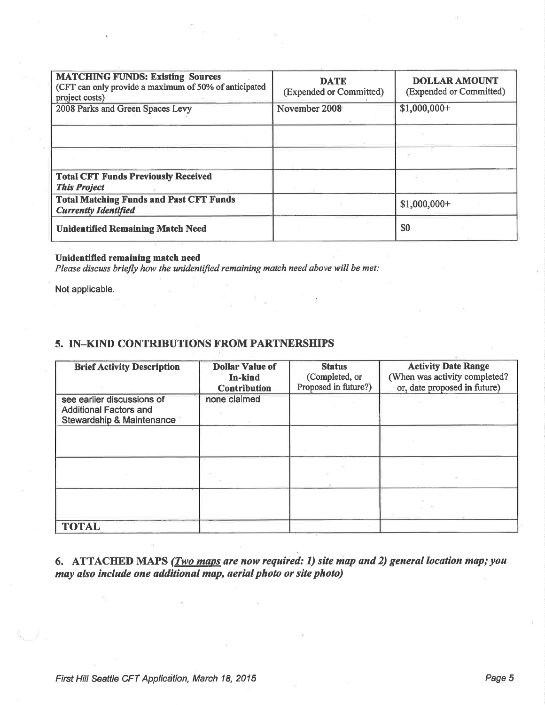| <b>MATCHING FUNDS: Existing Sources</b><br>(CFT can only provide a maximum of 50% of anticipated<br>project costs) | <b>DATE</b><br>(Expended or Committed) | <b>DOLLAR AMOUNT</b><br>(Expended or Committed) |
|--------------------------------------------------------------------------------------------------------------------|----------------------------------------|-------------------------------------------------|
| 2008 Parks and Green Spaces Levy                                                                                   | November 2008                          | $$1,000,000+$                                   |
|                                                                                                                    |                                        |                                                 |
|                                                                                                                    |                                        |                                                 |
| <b>Total CFT Funds Previously Received</b><br><b>This Project</b>                                                  |                                        |                                                 |
| <b>Total Matching Funds and Past CFT Funds</b><br><b>Currently Identified</b>                                      |                                        | $$1,000,000+$                                   |
| <b>Unidentified Remaining Match Need</b>                                                                           |                                        | \$0                                             |

### Unidentified remaining match need

Please discuss briefly how the unidentified remaining match need above will be met:

Not applicable.

## 5. IN-KIND CONTRIBUTIONS FROM PARTNERSHIPS

| <b>Brief Activity Description</b>                                                        | <b>Dollar Value of</b><br><b>In-kind</b><br><b>Contribution</b> | <b>Status</b><br>(Completed, or<br>Proposed in future?) | <b>Activity Date Range</b><br>(When was activity completed?<br>or, date proposed in future) |
|------------------------------------------------------------------------------------------|-----------------------------------------------------------------|---------------------------------------------------------|---------------------------------------------------------------------------------------------|
| see earlier discussions of<br><b>Additional Factors and</b><br>Stewardship & Maintenance | none claimed                                                    |                                                         |                                                                                             |
|                                                                                          |                                                                 |                                                         |                                                                                             |
|                                                                                          |                                                                 |                                                         |                                                                                             |
|                                                                                          |                                                                 |                                                         |                                                                                             |
| <b>TOTAL</b>                                                                             |                                                                 |                                                         |                                                                                             |

## 6. ATTACHED MAPS (*Two maps are now required: 1) site map and 2) general location map; you* may also include one additional map, aerial photo or site photo)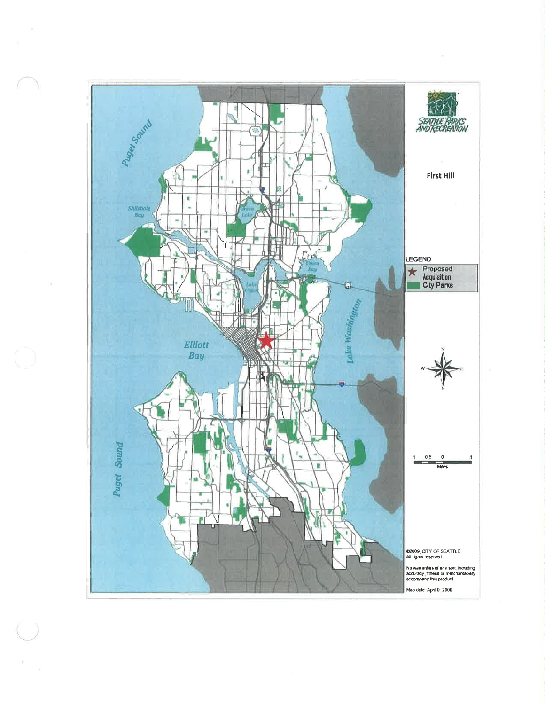